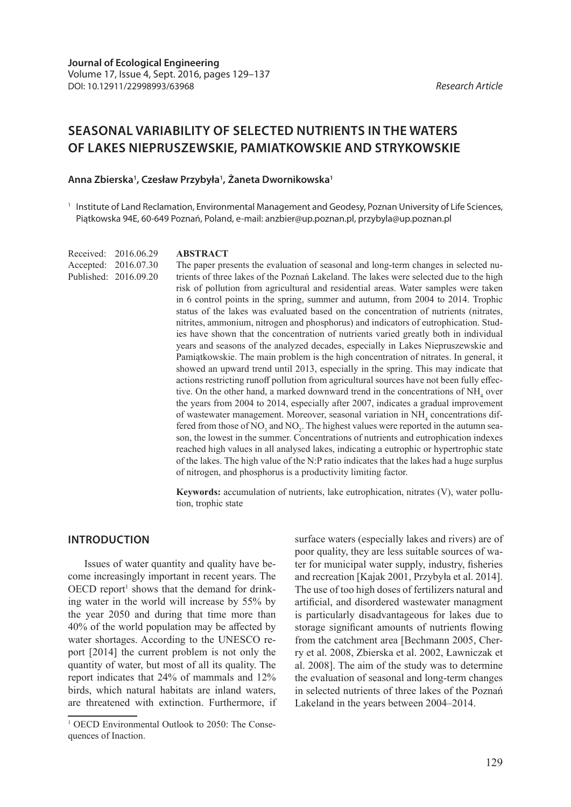# **SEASONAL VARIABILITY OF SELECTED NUTRIENTS IN THE WATERS OF LAKES NIEPRUSZEWSKIE, PAMIATKOWSKIE AND STRYKOWSKIE**

### **Anna Zbierska1 , Czesław Przybyła1 , Żaneta Dwornikowska1**

<sup>1</sup> Institute of Land Reclamation, Environmental Management and Geodesy, Poznan University of Life Sciences, Piątkowska 94E, 60-649 Poznań, Poland, e-mail: anzbier@up.poznan.pl, przybyla@up.poznan.pl

Received: 2016.06.29 Accepted: 2016.07.30 Published: 2016.09.20

#### **ABSTRACT**

The paper presents the evaluation of seasonal and long-term changes in selected nutrients of three lakes of the Poznań Lakeland. The lakes were selected due to the high risk of pollution from agricultural and residential areas. Water samples were taken in 6 control points in the spring, summer and autumn, from 2004 to 2014. Trophic status of the lakes was evaluated based on the concentration of nutrients (nitrates, nitrites, ammonium, nitrogen and phosphorus) and indicators of eutrophication. Studies have shown that the concentration of nutrients varied greatly both in individual years and seasons of the analyzed decades, especially in Lakes Niepruszewskie and Pamiątkowskie. The main problem is the high concentration of nitrates. In general, it showed an upward trend until 2013, especially in the spring. This may indicate that actions restricting runoff pollution from agricultural sources have not been fully effective. On the other hand, a marked downward trend in the concentrations of  $NH<sub>4</sub>$  over the years from 2004 to 2014, especially after 2007, indicates a gradual improvement of wastewater management. Moreover, seasonal variation in NH<sub>4</sub> concentrations differed from those of NO<sub>3</sub> and NO<sub>2</sub>. The highest values were reported in the autumn season, the lowest in the summer. Concentrations of nutrients and eutrophication indexes reached high values in all analysed lakes, indicating a eutrophic or hypertrophic state of the lakes. The high value of the N:P ratio indicates that the lakes had a huge surplus of nitrogen, and phosphorus is a productivity limiting factor.

**Keywords:** accumulation of nutrients, lake eutrophication, nitrates (V), water pollution, trophic state

### **INTRODUCTION**

Issues of water quantity and quality have become increasingly important in recent years. The  $OECD$  report<sup>1</sup> shows that the demand for drinking water in the world will increase by 55% by the year 2050 and during that time more than 40% of the world population may be affected by water shortages. According to the UNESCO report [2014] the current problem is not only the quantity of water, but most of all its quality. The report indicates that 24% of mammals and 12% birds, which natural habitats are inland waters, are threatened with extinction. Furthermore, if surface waters (especially lakes and rivers) are of poor quality, they are less suitable sources of water for municipal water supply, industry, fisheries and recreation [Kajak 2001, Przybyła et al. 2014]. The use of too high doses of fertilizers natural and artificial, and disordered wastewater managment is particularly disadvantageous for lakes due to storage significant amounts of nutrients flowing from the catchment area [Bechmann 2005, Cherry et al. 2008, Zbierska et al. 2002, Ławniczak et al. 2008]. The aim of the study was to determine the evaluation of seasonal and long-term changes in selected nutrients of three lakes of the Poznań Lakeland in the years between 2004–2014.

<sup>&</sup>lt;sup>1</sup> OECD Environmental Outlook to 2050: The Consequences of Inaction.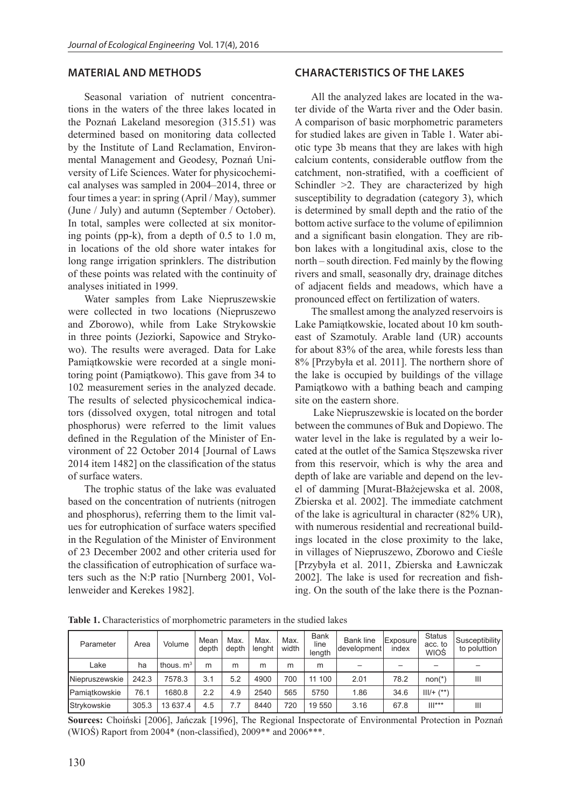### **MATERIAL AND METHODS**

Seasonal variation of nutrient concentrations in the waters of the three lakes located in the Poznań Lakeland mesoregion (315.51) was determined based on monitoring data collected by the Institute of Land Reclamation, Environmental Management and Geodesy, Poznań University of Life Sciences. Water for physicochemical analyses was sampled in 2004–2014, three or four times a year: in spring (April / May), summer (June / July) and autumn (September / October). In total, samples were collected at six monitoring points (pp-k), from a depth of 0.5 to 1.0 m, in locations of the old shore water intakes for long range irrigation sprinklers. The distribution of these points was related with the continuity of analyses initiated in 1999.

Water samples from Lake Niepruszewskie were collected in two locations (Niepruszewo and Zborowo), while from Lake Strykowskie in three points (Jeziorki, Sapowice and Strykowo). The results were averaged. Data for Lake Pamiątkowskie were recorded at a single monitoring point (Pamiątkowo). This gave from 34 to 102 measurement series in the analyzed decade. The results of selected physicochemical indicators (dissolved oxygen, total nitrogen and total phosphorus) were referred to the limit values defined in the Regulation of the Minister of Environment of 22 October 2014 [Journal of Laws 2014 item 1482] on the classification of the status of surface waters.

The trophic status of the lake was evaluated based on the concentration of nutrients (nitrogen and phosphorus), referring them to the limit values for eutrophication of surface waters specified in the Regulation of the Minister of Environment of 23 December 2002 and other criteria used for the classification of eutrophication of surface waters such as the N:P ratio [Nurnberg 2001, Vollenweider and Kerekes 1982].

### **CHARACTERISTICS OF THE LAKES**

All the analyzed lakes are located in the water divide of the Warta river and the Oder basin. A comparison of basic morphometric parameters for studied lakes are given in Table 1. Water abiotic type 3b means that they are lakes with high calcium contents, considerable outflow from the catchment, non-stratified, with a coefficient of Schindler  $\geq$ 2. They are characterized by high susceptibility to degradation (category 3), which is determined by small depth and the ratio of the bottom active surface to the volume of epilimnion and a significant basin elongation. They are ribbon lakes with a longitudinal axis, close to the north – south direction. Fed mainly by the flowing rivers and small, seasonally dry, drainage ditches of adjacent fields and meadows, which have a pronounced effect on fertilization of waters.

The smallest among the analyzed reservoirs is Lake Pamiątkowskie, located about 10 km southeast of Szamotuly. Arable land (UR) accounts for about 83% of the area, while forests less than 8% [Przybyła et al. 2011]. The northern shore of the lake is occupied by buildings of the village Pamiątkowo with a bathing beach and camping site on the eastern shore.

 Lake Niepruszewskie is located on the border between the communes of Buk and Dopiewo. The water level in the lake is regulated by a weir located at the outlet of the Samica Stęszewska river from this reservoir, which is why the area and depth of lake are variable and depend on the level of damming [Murat-Błażejewska et al. 2008, Zbierska et al. 2002]. The immediate catchment of the lake is agricultural in character (82% UR), with numerous residential and recreational buildings located in the close proximity to the lake, in villages of Niepruszewo, Zborowo and Cieśle [Przybyła et al. 2011, Zbierska and Ławniczak 2002]. The lake is used for recreation and fishing. On the south of the lake there is the Poznan-

**Table 1.** Characteristics of morphometric parameters in the studied lakes

| Parameter             | Area  | Volume      | Mean<br>depth | Max.<br>depth | Max.<br>lenght | Max.<br>width | <b>Bank</b><br>line<br>length | <b>Bank line</b><br>development | Exposure<br>index | <b>Status</b><br>acc. to<br>WIOŚ | Susceptibility<br>to poluttion |
|-----------------------|-------|-------------|---------------|---------------|----------------|---------------|-------------------------------|---------------------------------|-------------------|----------------------------------|--------------------------------|
| Lake                  | ha    | thous, $m3$ | m             | m             | m              | m             | m                             |                                 |                   |                                  |                                |
| <b>Niepruszewskie</b> | 242.3 | 7578.3      | 3.1           | 5.2           | 4900           | 700           | 11 100                        | 2.01                            | 78.2              | $non(*)$                         | Ш                              |
| <b>IPamiatkowskie</b> | 76.1  | 1680.8      | 2.2           | 4.9           | 2540           | 565           | 5750                          | 1.86                            | 34.6              | $III/+ ('*)$                     |                                |
| <b>Strykowskie</b>    | 305.3 | 13 637.4    | 4.5           |               | 8440           | 720           | 19 550                        | 3.16                            | 67.8              | $   ^{***}$                      | Ш                              |

**Sources:** Choiński [2006], Jańczak [1996], The Regional Inspectorate of Environmental Protection in Poznań (WIOŚ) Raport from 2004\* (non-classified), 2009\*\* and 2006\*\*\*.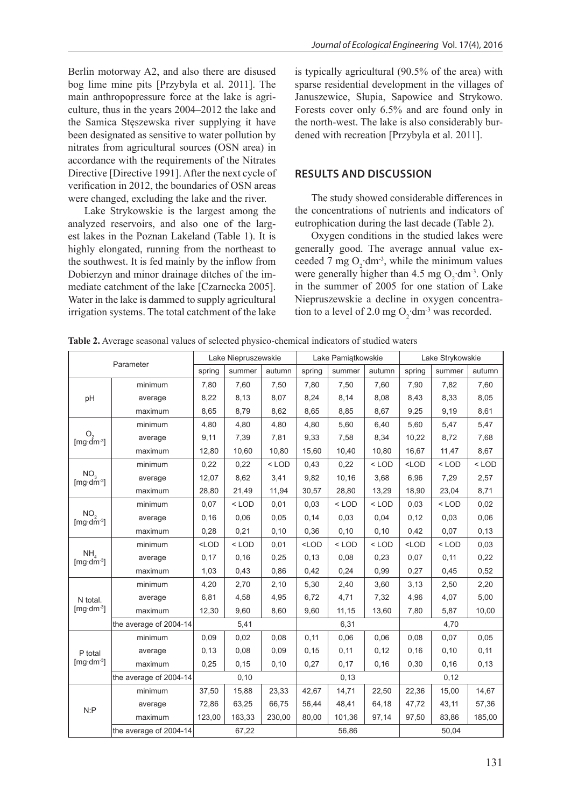Berlin motorway A2, and also there are disused bog lime mine pits [Przybyla et al. 2011]. The main anthropopressure force at the lake is agriculture, thus in the years 2004–2012 the lake and the Samica Stęszewska river supplying it have been designated as sensitive to water pollution by nitrates from agricultural sources (OSN area) in accordance with the requirements of the Nitrates Directive [Directive 1991]. After the next cycle of verification in 2012, the boundaries of OSN areas were changed, excluding the lake and the river.

Lake Strykowskie is the largest among the analyzed reservoirs, and also one of the largest lakes in the Poznan Lakeland (Table 1). It is highly elongated, running from the northeast to the southwest. It is fed mainly by the inflow from Dobierzyn and minor drainage ditches of the immediate catchment of the lake [Czarnecka 2005]. Water in the lake is dammed to supply agricultural irrigation systems. The total catchment of the lake

is typically agricultural (90.5% of the area) with sparse residential development in the villages of Januszewice, Słupia, Sapowice and Strykowo. Forests cover only 6.5% and are found only in the north-west. The lake is also considerably burdened with recreation [Przybyla et al. 2011].

### **RESULTS AND DISCUSSION**

The study showed considerable differences in the concentrations of nutrients and indicators of eutrophication during the last decade (Table 2).

Oxygen conditions in the studied lakes were generally good. The average annual value exceeded 7 mg  $O_2$ ·dm<sup>-3</sup>, while the minimum values were generally higher than 4.5 mg  $O_2$ ·dm<sup>-3</sup>. Only in the summer of 2005 for one station of Lake Niepruszewskie a decline in oxygen concentration to a level of 2.0 mg O<sub>2</sub>·dm<sup>-3</sup> was recorded.

**Table 2.** Average seasonal values of selected physico-chemical indicators of studied waters

|                                                                 |                        | Lake Niepruszewskie |         |         | Lake Pamiątkowskie |         |         | Lake Strykowskie |         |         |
|-----------------------------------------------------------------|------------------------|---------------------|---------|---------|--------------------|---------|---------|------------------|---------|---------|
|                                                                 | Parameter              | spring              | summer  | autumn  | spring             | summer  | autumn  | spring           | summer  | autumn  |
|                                                                 | minimum                | 7,80                | 7,60    | 7,50    | 7,80               | 7,50    | 7,60    | 7,90             | 7,82    | 7,60    |
| pH                                                              | average                | 8,22                | 8,13    | 8,07    | 8,24               | 8,14    | 8,08    | 8,43             | 8,33    | 8,05    |
|                                                                 | maximum                | 8,65                | 8,79    | 8,62    | 8,65               | 8,85    | 8,67    | 9,25             | 9,19    | 8,61    |
| O.<br>[mg·dm-3]                                                 | minimum                | 4,80                | 4,80    | 4,80    | 4,80               | 5,60    | 6,40    | 5,60             | 5,47    | 5,47    |
|                                                                 | average                | 9,11                | 7,39    | 7,81    | 9,33               | 7,58    | 8,34    | 10,22            | 8,72    | 7,68    |
|                                                                 | maximum                | 12,80               | 10,60   | 10,80   | 15,60              | 10,40   | 10,80   | 16,67            | 11,47   | 8,67    |
| NO <sub>3</sub><br>[ $mg \cdot d\vec{m}$ <sup>-3</sup> ]        | minimum                | 0,22                | 0,22    | $<$ LOD | 0,43               | 0,22    | $<$ LOD | $<$ LOD          | $<$ LOD | $<$ LOD |
|                                                                 | average                | 12,07               | 8,62    | 3,41    | 9,82               | 10,16   | 3,68    | 6,96             | 7,29    | 2,57    |
|                                                                 | maximum                | 28,80               | 21,49   | 11,94   | 30,57              | 28,80   | 13,29   | 18,90            | 23,04   | 8,71    |
| NO <sub>2</sub><br>[ $mg \cdot dm^{-3}$ ]                       | minimum                | 0,07                | $<$ LOD | 0,01    | 0.03               | $<$ LOD | $<$ LOD | 0,03             | $<$ LOD | 0,02    |
|                                                                 | average                | 0,16                | 0,06    | 0,05    | 0,14               | 0,03    | 0,04    | 0,12             | 0,03    | 0,06    |
|                                                                 | maximum                | 0,28                | 0,21    | 0, 10   | 0,36               | 0,10    | 0,10    | 0,42             | 0,07    | 0,13    |
| NH <sub>4</sub><br>[ $mg \cdot dm^{-3}$ ]                       | minimum                | $<$ LOD             | $<$ LOD | 0,01    | $<$ LOD            | $<$ LOD | $<$ LOD | $<$ LOD          | $<$ LOD | 0,03    |
|                                                                 | average                | 0,17                | 0,16    | 0,25    | 0.13               | 0,08    | 0,23    | 0,07             | 0,11    | 0,22    |
|                                                                 | maximum                | 1,03                | 0,43    | 0,86    | 0,42               | 0,24    | 0,99    | 0,27             | 0,45    | 0,52    |
| N total.<br>$\left[\text{mq}\cdot\text{dm}\cdot\text{m}\right]$ | minimum                | 4,20                | 2,70    | 2,10    | 5,30               | 2,40    | 3,60    | 3,13             | 2,50    | 2,20    |
|                                                                 | average                | 6,81                | 4,58    | 4,95    | 6,72               | 4,71    | 7,32    | 4,96             | 4,07    | 5,00    |
|                                                                 | maximum                | 12,30               | 9,60    | 8,60    | 9,60               | 11,15   | 13,60   | 7,80             | 5,87    | 10,00   |
|                                                                 | the average of 2004-14 | 5,41                |         |         | 6,31               |         |         | 4,70             |         |         |
| P total<br>[ $mg \cdot dm^{-3}$ ]                               | minimum                | 0,09                | 0,02    | 0,08    | 0,11               | 0,06    | 0.06    | 0,08             | 0,07    | 0,05    |
|                                                                 | average                | 0,13                | 0,08    | 0,09    | 0, 15              | 0,11    | 0,12    | 0, 16            | 0,10    | 0,11    |
|                                                                 | maximum                | 0,25                | 0,15    | 0,10    | 0,27               | 0,17    | 0,16    | 0,30             | 0, 16   | 0,13    |
|                                                                 | the average of 2004-14 | 0, 10               |         |         | 0,13               |         |         | 0,12             |         |         |
| N: P                                                            | minimum                | 37,50               | 15,88   | 23,33   | 42,67              | 14,71   | 22,50   | 22,36            | 15,00   | 14,67   |
|                                                                 | average                | 72,86               | 63,25   | 66,75   | 56,44              | 48,41   | 64,18   | 47,72            | 43,11   | 57,36   |
|                                                                 | maximum                | 123,00              | 163,33  | 230,00  | 80,00              | 101,36  | 97,14   | 97,50            | 83,86   | 185,00  |
|                                                                 | the average of 2004-14 | 67,22               |         |         | 56,86              |         |         | 50,04            |         |         |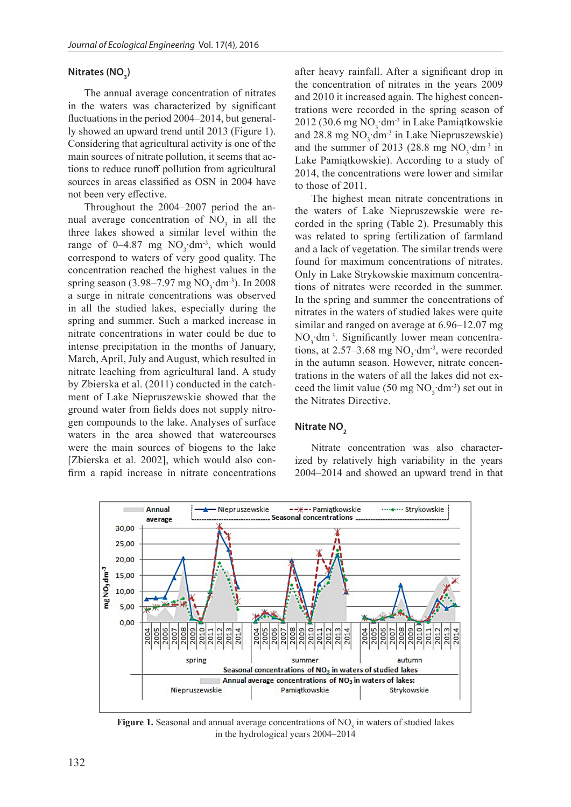### **Nitrates (NO<sub>3</sub>)**

The annual average concentration of nitrates in the waters was characterized by significant fluctuations in the period 2004–2014, but generally showed an upward trend until 2013 (Figure 1). Considering that agricultural activity is one of the main sources of nitrate pollution, it seems that actions to reduce runoff pollution from agricultural sources in areas classified as OSN in 2004 have not been very effective.

Throughout the 2004–2007 period the annual average concentration of  $NO<sub>3</sub>$  in all the three lakes showed a similar level within the range of 0–4.87 mg  $NO_3$ ·dm<sup>-3</sup>, which would correspond to waters of very good quality. The concentration reached the highest values in the spring season (3.98–7.97 mg  $NO_3$ ·dm<sup>-3</sup>). In 2008 a surge in nitrate concentrations was observed in all the studied lakes, especially during the spring and summer. Such a marked increase in nitrate concentrations in water could be due to intense precipitation in the months of January, March, April, July and August, which resulted in nitrate leaching from agricultural land. A study by Zbierska et al. (2011) conducted in the catchment of Lake Niepruszewskie showed that the ground water from fields does not supply nitrogen compounds to the lake. Analyses of surface waters in the area showed that watercourses were the main sources of biogens to the lake [Zbierska et al. 2002], which would also confirm a rapid increase in nitrate concentrations

after heavy rainfall. After a significant drop in the concentration of nitrates in the years 2009 and 2010 it increased again. The highest concentrations were recorded in the spring season of 2012 (30.6 mg  $NO_3$ ·dm<sup>-3</sup> in Lake Pamiątkowskie and 28.8 mg  $NO_3$ ·dm<sup>-3</sup> in Lake Niepruszewskie) and the summer of 2013 (28.8 mg  $NO_3 \cdot dm^{-3}$  in Lake Pamiątkowskie). According to a study of 2014, the concentrations were lower and similar to those of 2011.

The highest mean nitrate concentrations in the waters of Lake Niepruszewskie were recorded in the spring (Table 2). Presumably this was related to spring fertilization of farmland and a lack of vegetation. The similar trends were found for maximum concentrations of nitrates. Only in Lake Strykowskie maximum concentrations of nitrates were recorded in the summer. In the spring and summer the concentrations of nitrates in the waters of studied lakes were quite similar and ranged on average at 6.96–12.07 mg  $NO_3$ ·dm<sup>-3</sup>. Significantly lower mean concentrations, at 2.57–3.68 mg  $NO_3$ ·dm<sup>-3</sup>, were recorded in the autumn season. However, nitrate concentrations in the waters of all the lakes did not exceed the limit value (50 mg  $NO_3$ ·dm<sup>-3</sup>) set out in the Nitrates Directive.

### **Nitrate NO<sub>2</sub>**

Nitrate concentration was also characterized by relatively high variability in the years 2004–2014 and showed an upward trend in that



Figure 1. Seasonal and annual average concentrations of NO<sub>3</sub> in waters of studied lakes in the hydrological years 2004–2014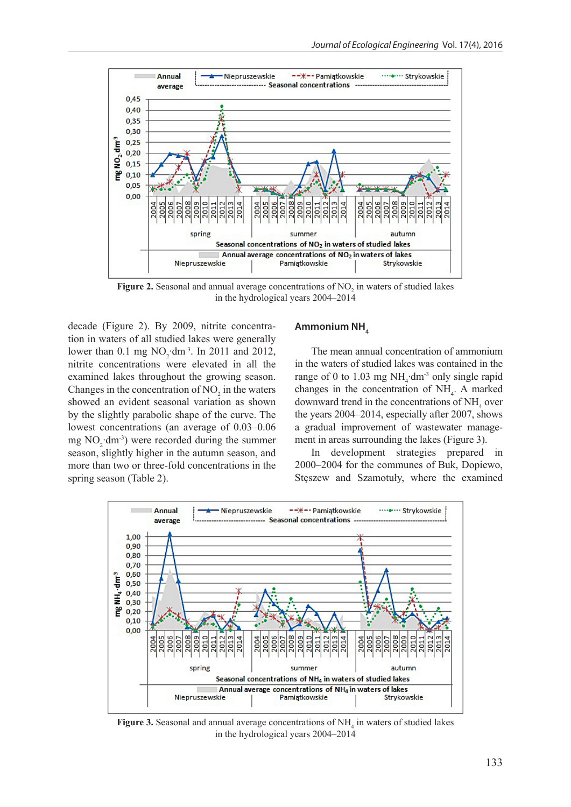

**Figure 2.** Seasonal and annual average concentrations of  $NO<sub>2</sub>$  in waters of studied lakes in the hydrological years 2004–2014

decade (Figure 2). By 2009, nitrite concentration in waters of all studied lakes were generally lower than 0.1 mg  $NO_2$ ·dm<sup>-3</sup>. In 2011 and 2012, nitrite concentrations were elevated in all the examined lakes throughout the growing season. Changes in the concentration of  $NO<sub>2</sub>$  in the waters showed an evident seasonal variation as shown by the slightly parabolic shape of the curve. The lowest concentrations (an average of 0.03–0.06 mg  $NO_2 \cdot dm^{-3}$ ) were recorded during the summer season, slightly higher in the autumn season, and more than two or three-fold concentrations in the spring season (Table 2).

#### Ammonium NH<sub>4</sub>

The mean annual concentration of ammonium in the waters of studied lakes was contained in the range of 0 to 1.03 mg  $NH_4$ ·dm<sup>-3</sup> only single rapid changes in the concentration of  $NH<sub>4</sub>$ . A marked downward trend in the concentrations of  $NH<sub>4</sub>$  over the years 2004–2014, especially after 2007, shows a gradual improvement of wastewater management in areas surrounding the lakes (Figure 3).

In development strategies prepared in 2000–2004 for the communes of Buk, Dopiewo, Stęszew and Szamotuły, where the examined



**Figure 3.** Seasonal and annual average concentrations of  $NH<sub>4</sub>$  in waters of studied lakes in the hydrological years 2004–2014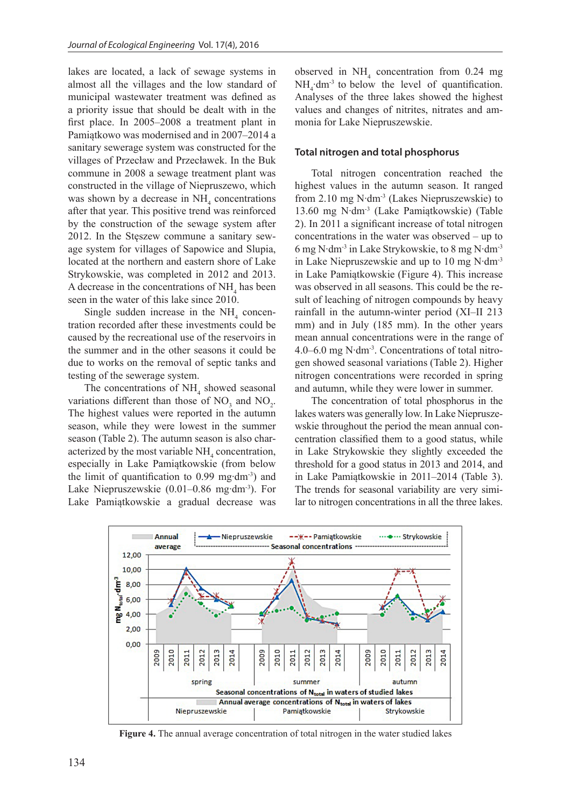lakes are located, a lack of sewage systems in almost all the villages and the low standard of municipal wastewater treatment was defined as a priority issue that should be dealt with in the first place. In 2005–2008 a treatment plant in Pamiątkowo was modernised and in 2007–2014 a sanitary sewerage system was constructed for the villages of Przecław and Przecławek. In the Buk commune in 2008 a sewage treatment plant was constructed in the village of Niepruszewo, which was shown by a decrease in  $NH<sub>4</sub>$  concentrations after that year. This positive trend was reinforced by the construction of the sewage system after 2012. In the Stęszew commune a sanitary sewage system for villages of Sapowice and Slupia, located at the northern and eastern shore of Lake Strykowskie, was completed in 2012 and 2013. A decrease in the concentrations of  $NH<sub>4</sub>$  has been seen in the water of this lake since 2010.

Single sudden increase in the  $NH<sub>4</sub>$  concentration recorded after these investments could be caused by the recreational use of the reservoirs in the summer and in the other seasons it could be due to works on the removal of septic tanks and testing of the sewerage system.

The concentrations of  $NH<sub>4</sub>$  showed seasonal variations different than those of  $NO_3$  and  $NO_2$ . The highest values were reported in the autumn season, while they were lowest in the summer season (Table 2). The autumn season is also characterized by the most variable  $NH<sub>4</sub>$  concentration, especially in Lake Pamiątkowskie (from below the limit of quantification to 0.99 mg∙dm-3) and Lake Niepruszewskie (0.01–0.86 mg∙dm-3). For Lake Pamiątkowskie a gradual decrease was

observed in  $NH_4$  concentration from 0.24 mg  $NH_4$ ·dm<sup>-3</sup> to below the level of quantification. Analyses of the three lakes showed the highest values and changes of nitrites, nitrates and ammonia for Lake Niepruszewskie.

### **Total nitrogen and total phosphorus**

Total nitrogen concentration reached the highest values in the autumn season. It ranged from 2.10 mg N∙dm-3 (Lakes Niepruszewskie) to 13.60 mg N∙dm-3 (Lake Pamiątkowskie) (Table 2). In 2011 a significant increase of total nitrogen concentrations in the water was observed – up to 6 mg N∙dm-3 in Lake Strykowskie, to 8 mg N∙dm-3 in Lake Niepruszewskie and up to 10 mg N∙dm-3 in Lake Pamiątkowskie (Figure 4). This increase was observed in all seasons. This could be the result of leaching of nitrogen compounds by heavy rainfall in the autumn-winter period (XI–II 213 mm) and in July (185 mm). In the other years mean annual concentrations were in the range of 4.0–6.0 mg N∙dm-3. Concentrations of total nitrogen showed seasonal variations (Table 2). Higher nitrogen concentrations were recorded in spring and autumn, while they were lower in summer.

The concentration of total phosphorus in the lakes waters was generally low. In Lake Niepruszewskie throughout the period the mean annual concentration classified them to a good status, while in Lake Strykowskie they slightly exceeded the threshold for a good status in 2013 and 2014, and in Lake Pamiątkowskie in 2011–2014 (Table 3). The trends for seasonal variability are very similar to nitrogen concentrations in all the three lakes.



**Figure 4.** The annual average concentration of total nitrogen in the water studied lakes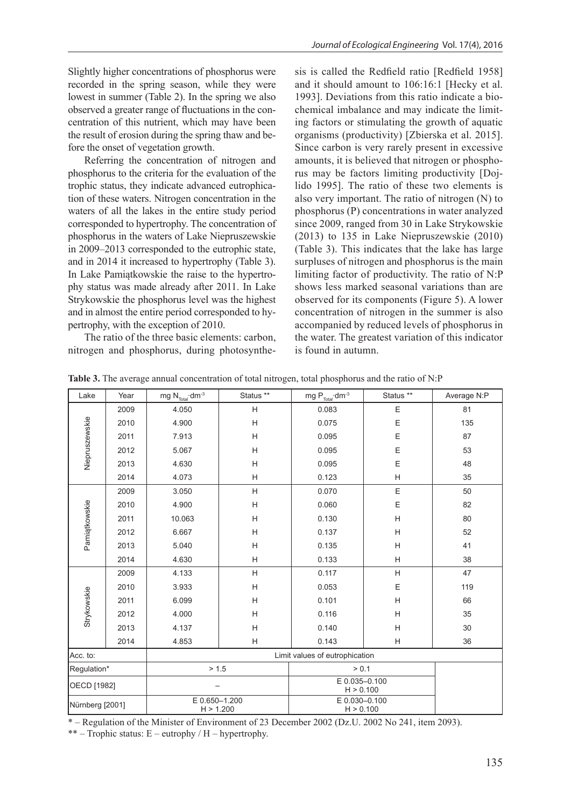Slightly higher concentrations of phosphorus were recorded in the spring season, while they were lowest in summer (Table 2). In the spring we also observed a greater range of fluctuations in the concentration of this nutrient, which may have been the result of erosion during the spring thaw and before the onset of vegetation growth.

Referring the concentration of nitrogen and phosphorus to the criteria for the evaluation of the trophic status, they indicate advanced eutrophication of these waters. Nitrogen concentration in the waters of all the lakes in the entire study period corresponded to hypertrophy. The concentration of phosphorus in the waters of Lake Niepruszewskie in 2009–2013 corresponded to the eutrophic state, and in 2014 it increased to hypertrophy (Table 3). In Lake Pamiątkowskie the raise to the hypertrophy status was made already after 2011. In Lake Strykowskie the phosphorus level was the highest and in almost the entire period corresponded to hypertrophy, with the exception of 2010.

The ratio of the three basic elements: carbon, nitrogen and phosphorus, during photosynthesis is called the Redfield ratio [Redfield 1958] and it should amount to 106:16:1 [Hecky et al. 1993]. Deviations from this ratio indicate a biochemical imbalance and may indicate the limiting factors or stimulating the growth of aquatic organisms (productivity) [Zbierska et al. 2015]. Since carbon is very rarely present in excessive amounts, it is believed that nitrogen or phosphorus may be factors limiting productivity [Dojlido 1995]. The ratio of these two elements is also very important. The ratio of nitrogen (N) to phosphorus (P) concentrations in water analyzed since 2009, ranged from 30 in Lake Strykowskie (2013) to 135 in Lake Niepruszewskie (2010) (Table 3). This indicates that the lake has large surpluses of nitrogen and phosphorus is the main limiting factor of productivity. The ratio of N:P shows less marked seasonal variations than are observed for its components (Figure 5). A lower concentration of nitrogen in the summer is also accompanied by reduced levels of phosphorus in the water. The greatest variation of this indicator is found in autumn.

| Lake            | Year | mg $N_{\text{Total}}$ ·dm <sup>-3</sup> | Status **                 | mg $\mathsf{P}_{\mathsf{Total}}{\cdot}\mathsf{dm}{\cdot}^3$ | Status ** | Average N:P |  |
|-----------------|------|-----------------------------------------|---------------------------|-------------------------------------------------------------|-----------|-------------|--|
| Niepruszewskie  | 2009 | 4.050                                   | H                         | 0.083                                                       | Ε         | 81          |  |
|                 | 2010 | 4.900                                   | Н                         | 0.075                                                       | Ε         | 135         |  |
|                 | 2011 | 7.913                                   | $\boldsymbol{\mathsf{H}}$ | 0.095                                                       | Ε         | 87          |  |
|                 | 2012 | 5.067                                   | H                         | 0.095                                                       | E         | 53          |  |
|                 | 2013 | 4.630                                   | Н                         | 0.095                                                       | E         | 48          |  |
|                 | 2014 | 4.073                                   | H                         | 0.123                                                       | H         | 35          |  |
| Pamiątkowskie   | 2009 | 3.050                                   | H                         | 0.070                                                       | E         | 50          |  |
|                 | 2010 | 4.900                                   | Н                         | 0.060                                                       | Ε         | 82          |  |
|                 | 2011 | 10.063                                  | Н                         | 0.130                                                       | H         | 80          |  |
|                 | 2012 | 6.667                                   | $\boldsymbol{\mathsf{H}}$ | 0.137                                                       | H         | 52          |  |
|                 | 2013 | 5.040                                   | Н                         | 0.135                                                       | Н         | 41          |  |
|                 | 2014 | 4.630                                   | H                         | 0.133                                                       | H         | 38          |  |
| Strykowskie     | 2009 | 4.133                                   | Н                         | 0.117                                                       | H         | 47          |  |
|                 | 2010 | 3.933                                   | $\boldsymbol{\mathsf{H}}$ | 0.053                                                       | Ε         | 119         |  |
|                 | 2011 | 6.099                                   | Н                         | 0.101                                                       | H         | 66          |  |
|                 | 2012 | 4.000                                   | $\boldsymbol{\mathsf{H}}$ | 0.116                                                       | H         | 35          |  |
|                 | 2013 | 4.137                                   | H                         | 0.140                                                       | H         | 30          |  |
|                 | 2014 | 4.853                                   | Н                         | 0.143                                                       | H         | 36          |  |
| Acc. to:        |      |                                         |                           |                                                             |           |             |  |
| Regulation*     |      | > 1.5                                   |                           | > 0.1                                                       |           |             |  |
| OECD [1982]     |      |                                         |                           | E 0.035-0.100<br>H > 0.100                                  |           |             |  |
| Nürnberg [2001] |      | E 0.650-1.200<br>H > 1.200              |                           | E 0.030-0.100<br>H > 0.100                                  |           |             |  |

**Table 3.** The average annual concentration of total nitrogen, total phosphorus and the ratio of N:P

\* – Regulation of the Minister of Environment of 23 December 2002 (Dz.U. 2002 No 241, item 2093).

\*\* – Trophic status:  $E$  – eutrophy / H – hypertrophy.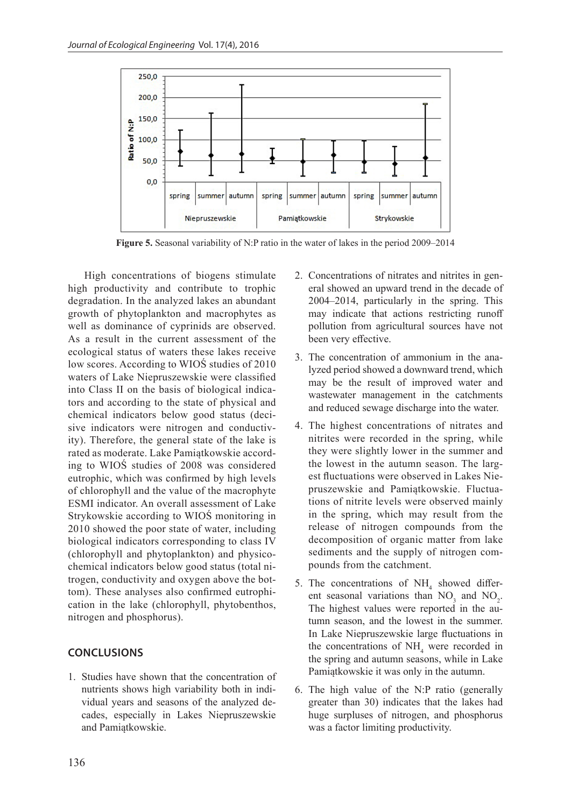

**Figure 5.** Seasonal variability of N:P ratio in the water of lakes in the period 2009–2014

High concentrations of biogens stimulate high productivity and contribute to trophic degradation. In the analyzed lakes an abundant growth of phytoplankton and macrophytes as well as dominance of cyprinids are observed. As a result in the current assessment of the ecological status of waters these lakes receive low scores. According to WIOŚ studies of 2010 waters of Lake Niepruszewskie were classified into Class II on the basis of biological indicators and according to the state of physical and chemical indicators below good status (decisive indicators were nitrogen and conductivity). Therefore, the general state of the lake is rated as moderate. Lake Pamiątkowskie according to WIOŚ studies of 2008 was considered eutrophic, which was confirmed by high levels of chlorophyll and the value of the macrophyte ESMI indicator. An overall assessment of Lake Strykowskie according to WIOŚ monitoring in 2010 showed the poor state of water, including biological indicators corresponding to class IV (chlorophyll and phytoplankton) and physicochemical indicators below good status (total nitrogen, conductivity and oxygen above the bottom). These analyses also confirmed eutrophication in the lake (chlorophyll, phytobenthos, nitrogen and phosphorus).

## **CONCLUSIONS**

1. Studies have shown that the concentration of nutrients shows high variability both in individual years and seasons of the analyzed decades, especially in Lakes Niepruszewskie and Pamiątkowskie.

- 2. Concentrations of nitrates and nitrites in general showed an upward trend in the decade of 2004–2014, particularly in the spring. This may indicate that actions restricting runoff pollution from agricultural sources have not been very effective.
- 3. The concentration of ammonium in the analyzed period showed a downward trend, which may be the result of improved water and wastewater management in the catchments and reduced sewage discharge into the water.
- 4. The highest concentrations of nitrates and nitrites were recorded in the spring, while they were slightly lower in the summer and the lowest in the autumn season. The largest fluctuations were observed in Lakes Niepruszewskie and Pamiątkowskie. Fluctuations of nitrite levels were observed mainly in the spring, which may result from the release of nitrogen compounds from the decomposition of organic matter from lake sediments and the supply of nitrogen compounds from the catchment.
- 5. The concentrations of  $NH<sub>4</sub>$  showed different seasonal variations than  $NO_3$  and  $NO_2$ . The highest values were reported in the autumn season, and the lowest in the summer. In Lake Niepruszewskie large fluctuations in the concentrations of  $NH<sub>4</sub>$  were recorded in the spring and autumn seasons, while in Lake Pamiątkowskie it was only in the autumn.
- 6. The high value of the N:P ratio (generally greater than 30) indicates that the lakes had huge surpluses of nitrogen, and phosphorus was a factor limiting productivity.